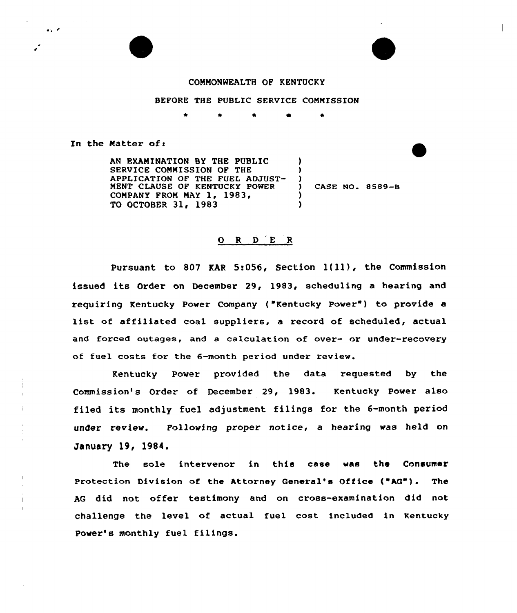## CONNONWEALTH OF KENTUCKY

## BEFORE THE PUBLIC SERVICE CONNISS10N

In the Matter of:

 $\mathbf{A} \in \mathcal{A}$ 

AN EXANINATION BY THE PUBLIC SERVICE CONNISSION OF THE APPLICATION OF THE FUEL ADZUST-NENT CIAUSE OF KENTUCKY POWER CONPANY PRON NAY 1, 1983, TO OCTOBER 31, 1983 ) )  $\left\{ \right\}$ ) )

CASE NO. 8589-B

## 0 <sup>R</sup> <sup>D</sup> <sup>E</sup> <sup>R</sup>

Pursuant to <sup>807</sup> KAR 5:056, Section 1{ll), the Commission issued its Order on December 29, 1983, scheduling a hearing and requiring Kentucky Power Company ("Kentucky Power") to provide a list of affiliated coal suppliers, <sup>a</sup> record of scheduled, actual and forced outages, and a calculation of over- or under-recovery of fuel costs for the 6-month period under review.

Kentucky Power provided the data requested by the Commission's Order of December 29, 1983. Kentucky Power also filed its monthly fuel adjustment filings for the 6-month period under review. Following proper notice, a hearing was held on January 19, 1984.

The sole intervenor in this case was the Consumer Protection Division of the Attorney General's Office ("AG"). The AG did not offer testimony and on cross-examination did not. challenge the level of actual fuel cost included in Kentucky Power's monthly fuel filings.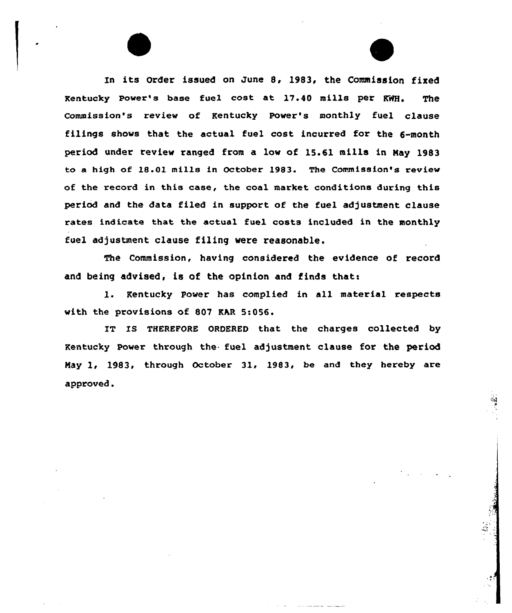In its Order issued on June 8, 1983, the Commission fixed Kentucky powex's base fuel cost at 17.40 mills per KHH, The Commission's review of Kentucky Power's monthly fuel clause filings shows that the actual fuel cost incurred for the 6-month period under review xanged from a low of 15.61 mills in Nay 1983 to a high of 18.01 mills in October 1983. The Commission's review of the record in this case, the coal market conditions during this period and the data filed in support of the fuel adjustment clause rates indicate that the actual fuel costs included in the monthly fuel adjustment clause filing were reasonable.

The Commission, having considered the evidence of record and being advised, is of the opinion and finds that:

1. Kentucky Power has complied in all material respects with the provisions of 807 KAR 5:056.

IT IS THEREFORE ORDERED that the charges collected by Kentucky Power through the fuel adjustment clause for the period May 1, 1983, through October 31, 1983, be and they hereby are approved.